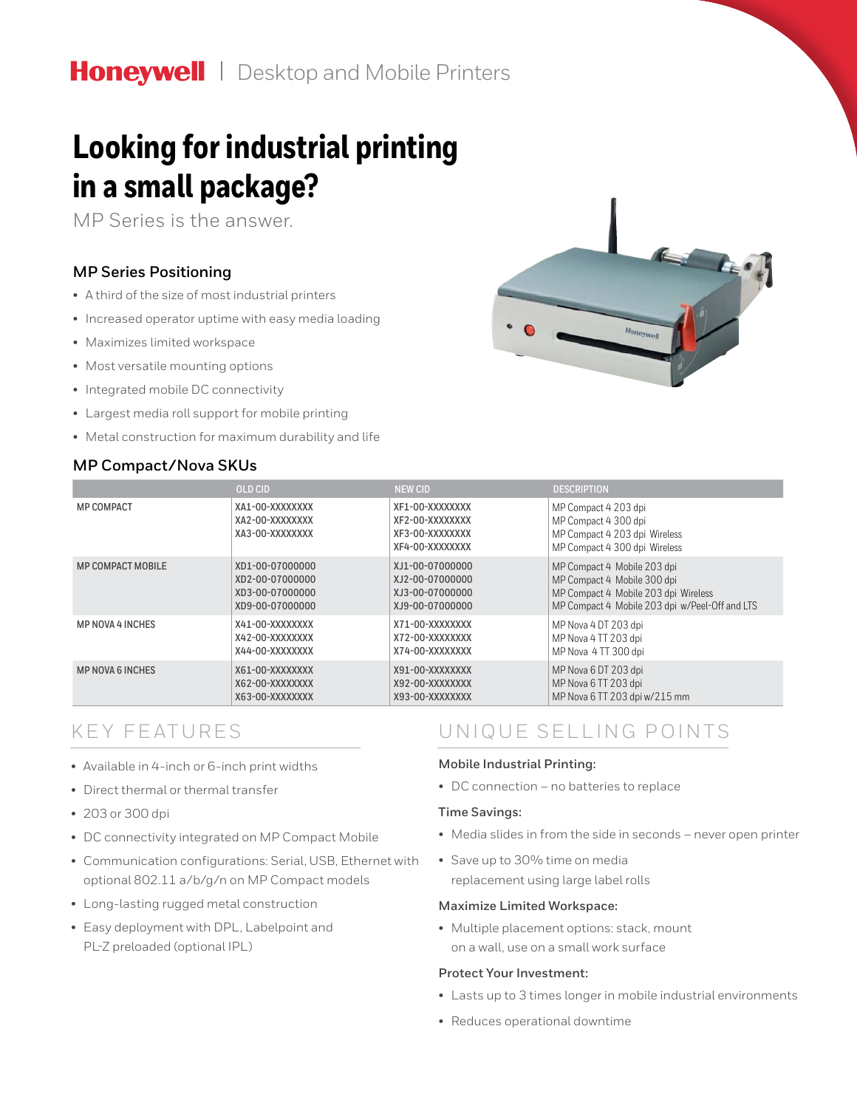# Honeywell | Desktop and Mobile Printers

# **Looking for industrial printing in a small package?**

MP Series is the answer.

### **MP Series Positioning**

- A third of the size of most industrial printers
- Increased operator uptime with easy media loading
- Maximizes limited workspace
- Most versatile mounting options
- Integrated mobile DC connectivity
- Largest media roll support for mobile printing
- Metal construction for maximum durability and life

### **MP Compact/Nova SKUs**



|                          | <b>OLD CID</b>                                        | <b>NEW CID</b>                                                           | <b>DESCRIPTION</b>                                                                                             |
|--------------------------|-------------------------------------------------------|--------------------------------------------------------------------------|----------------------------------------------------------------------------------------------------------------|
| <b>MP COMPACT</b>        | XA1-00-XXXXXXXX<br>XA2-00-XXXXXXXX<br>XA3-00-XXXXXXXX | XF1-00-XXXXXXXX<br>XF2-00-XXXXXXXX<br>XF3-00-XXXXXXXX<br>XF4-00-XXXXXXXX | MP Compact 4 203 dpi<br>MP Compact 4 300 dpi<br>MP Compact 4 203 dpi Wireless<br>MP Compact 4 300 dpi Wireless |
| <b>MP COMPACT MOBILE</b> | XD1-00-07000000                                       | XJ1-00-07000000                                                          | MP Compact 4 Mobile 203 dpi                                                                                    |
|                          | XD2-00-07000000                                       | XJ2-00-07000000                                                          | MP Compact 4 Mobile 300 dpi                                                                                    |
|                          | XD3-00-07000000                                       | XJ3-00-07000000                                                          | MP Compact 4 Mobile 203 dpi Wireless                                                                           |
|                          | XD9-00-07000000                                       | XJ9-00-07000000                                                          | MP Compact 4 Mobile 203 dpi w/Peel-Off and LTS                                                                 |
| <b>MP NOVA 4 INCHES</b>  | X41-00-XXXXXXXX                                       | X71-00-XXXXXXXX                                                          | MP Nova 4 DT 203 dpi                                                                                           |
|                          | X42-00-XXXXXXXX                                       | X72-00-XXXXXXXX                                                          | MP Nova 4 TT 203 dpi                                                                                           |
|                          | X44-00-XXXXXXXX                                       | X74-00-XXXXXXXX                                                          | MP Nova 4 TT 300 dpi                                                                                           |
| <b>MP NOVA 6 INCHES</b>  | X61-00-XXXXXXXX                                       | X91-00-XXXXXXXX                                                          | MP Nova 6 DT 203 dpi                                                                                           |
|                          | X62-00-XXXXXXXX                                       | X92-00-XXXXXXXX                                                          | MP Nova 6 TT 203 dpi                                                                                           |
|                          | X63-00-XXXXXXXX                                       | X93-00-XXXXXXXX                                                          | MP Nova 6 TT 203 dpi w/215 mm                                                                                  |

## KEY FEATURES

- Available in 4-inch or 6-inch print widths
- Direct thermal or thermal transfer
- 203 or 300 dpi
- DC connectivity integrated on MP Compact Mobile
- Communication configurations: Serial, USB, Ethernet with optional 802.11 a/b/g/n on MP Compact models
- Long-lasting rugged metal construction
- Easy deployment with DPL, Labelpoint and PL-Z preloaded (optional IPL)

## UNIQUE SELLING POINTS

#### **Mobile Industrial Printing:**

• DC connection – no batteries to replace

#### **Time Savings:**

- Media slides in from the side in seconds never open printer
- Save up to 30% time on media replacement using large label rolls

#### **Maximize Limited Workspace:**

• Multiple placement options: stack, mount on a wall, use on a small work surface

#### **Protect Your Investment:**

- Lasts up to 3 times longer in mobile industrial environments
- Reduces operational downtime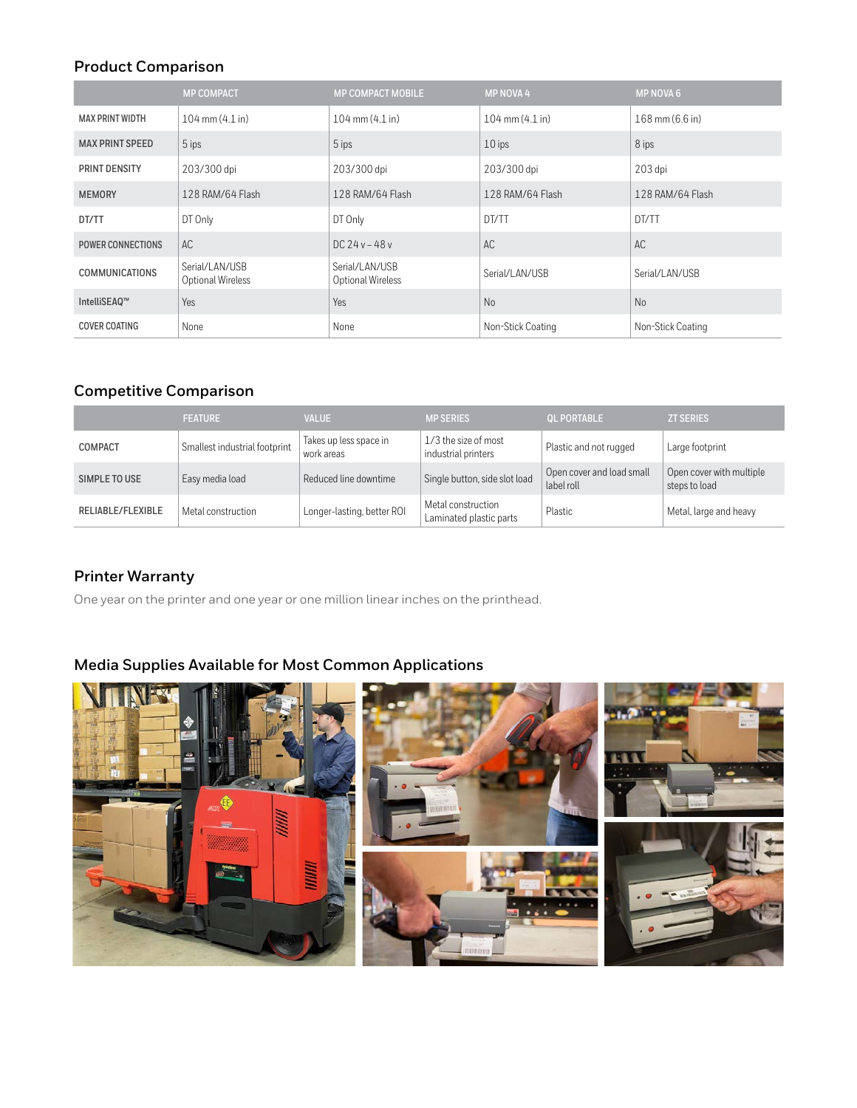## **Product Comparison**

|                        | <b>MP COMPACT</b>                   | <b>MP COMPACT MOBILE</b>            | <b>MP NOVA 4</b>    | <b>MP NOVA 6</b>  |
|------------------------|-------------------------------------|-------------------------------------|---------------------|-------------------|
| <b>MAX PRINT WIDTH</b> | $104 \text{ mm} (4.1 \text{ in})$   | 104 mm (4.1 in)                     | $104$ mm $(4.1$ in) | 168 mm (6.6 in)   |
| <b>MAX PRINT SPEED</b> | 5 ips                               | 5 ips                               | $10$ ips            | 8 ips             |
| PRINT DENSITY          | 203/300 dpi                         | 203/300 dpi                         | 203/300 dpi         | 203 dpi           |
| <b>MEMORY</b>          | 128 RAM/64 Flash                    | 128 RAM/64 Flash                    | 128 RAM/64 Flash    | 128 RAM/64 Flash  |
| DT/TT                  | DT Only                             | DT Only                             | DT/TT               | DT/TT             |
| POWER CONNECTIONS      | AC.                                 | $DC$ 24 v – 48 v                    | AC                  | AC                |
| <b>COMMUNICATIONS</b>  | Serial/LAN/USB<br>Optional Wireless | Serial/LAN/USB<br>Optional Wireless | Serial/LAN/USB      | Serial/LAN/USB    |
| IntelliSEAQ™           | Yes                                 | Yes                                 | N <sub>o</sub>      | <b>No</b>         |
| <b>COVER COATING</b>   | None                                | None                                | Non-Stick Coating   | Non-Stick Coating |

## **Competitive Comparison**

|                   | <b>FEATURE</b>                | <b>VALUE</b>                         | <b>MP SERIES</b>                              | <b>OL PORTABLE</b>                      | <b>ZT SERIES</b>                          |
|-------------------|-------------------------------|--------------------------------------|-----------------------------------------------|-----------------------------------------|-------------------------------------------|
| <b>COMPACT</b>    | Smallest industrial footprint | Takes up less space in<br>work areas | 1/3 the size of most<br>industrial printers   | Plastic and not rugged                  | Large footprint                           |
| SIMPLE TO USE     | Easy media load               | Reduced line downtime                | Single button, side slot load                 | Open cover and load small<br>label roll | Open cover with multiple<br>steps to load |
| RELIABLE/FLEXIBLE | Metal construction            | Longer-lasting, better ROI           | Metal construction<br>Laminated plastic parts | Plastic                                 | Metal, large and heavy                    |

## **Printer Warranty**

One year on the printer and one year or one million linear inches on the printhead.

## **Media Supplies Available for Most Common Applications**